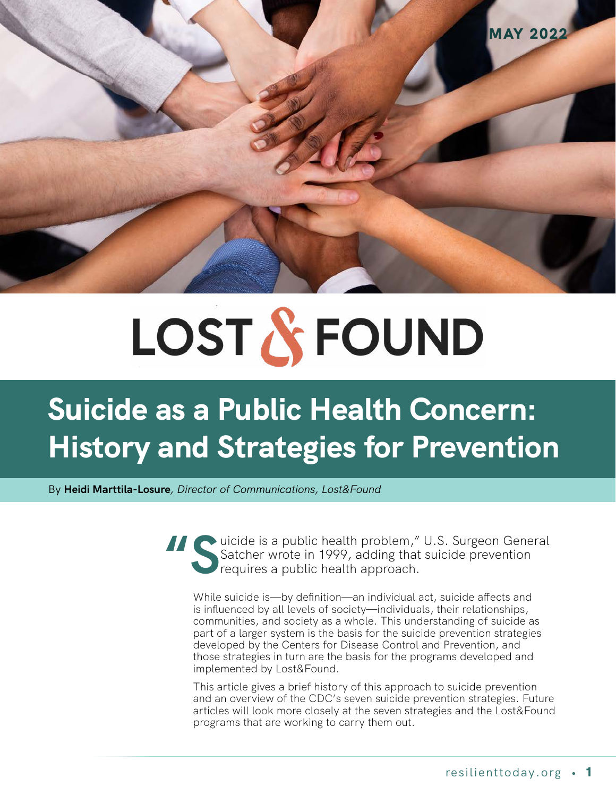

# LOST & FOUND

# **Suicide as a Public Health Concern: History and Strategies for Prevention**

By **Heidi Marttila-Losure***, Director of Communications, Lost&Found* 

Suicide is a public health problem," U.S. Surgeon General<br>Satcher wrote in 1999, adding that suicide prevention<br>requires a public health approach. Satcher wrote in 1999, adding that suicide prevention requires a public health approach.

While suicide is—by definition—an individual act, suicide affects and is influenced by all levels of society—individuals, their relationships, communities, and society as a whole. This understanding of suicide as part of a larger system is the basis for the suicide prevention strategies developed by the Centers for Disease Control and Prevention, and those strategies in turn are the basis for the programs developed and implemented by Lost&Found.

This article gives a brief history of this approach to suicide prevention and an overview of the CDC's seven suicide prevention strategies. Future articles will look more closely at the seven strategies and the Lost&Found programs that are working to carry them out.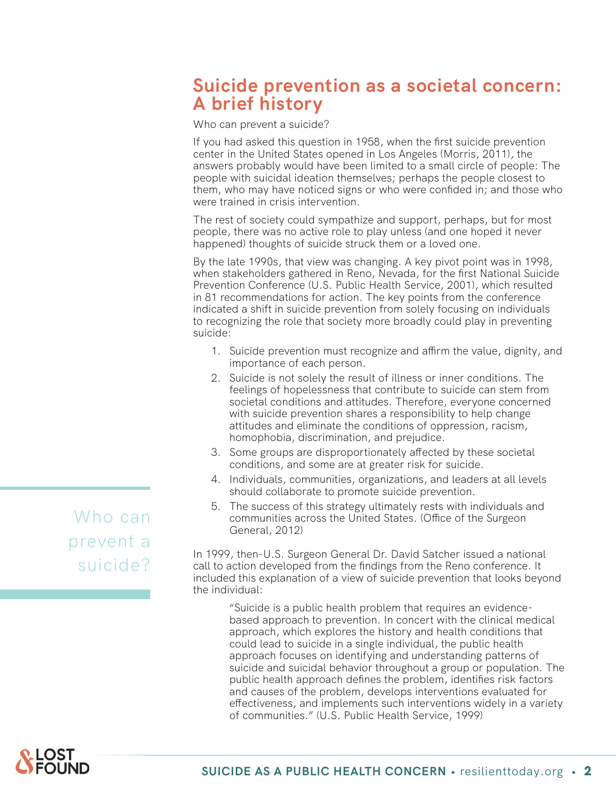# **Suicide prevention as a societal concern: A brief history**

Who can prevent a suicide?

If you had asked this question in 1958, when the first suicide prevention center in the United States opened in Los Angeles (Morris, 2011), the answers probably would have been limited to a small circle of people: The people with suicidal ideation themselves; perhaps the people closest to them, who may have noticed signs or who were confided in; and those who were trained in crisis intervention.

The rest of society could sympathize and support, perhaps, but for most people, there was no active role to play unless (and one hoped it never happened) thoughts of suicide struck them or a loved one.

By the late 1990s, that view was changing. A key pivot point was in 1998, when stakeholders gathered in Reno, Nevada, for the first National Suicide Prevention Conference (U.S. Public Health Service, 2001), which resulted in 81 recommendations for action. The key points from the conference indicated a shift in suicide prevention from solely focusing on individuals to recognizing the role that society more broadly could play in preventing suicide:

- 1. Suicide prevention must recognize and affirm the value, dignity, and importance of each person.
- 2. Suicide is not solely the result of illness or inner conditions. The feelings of hopelessness that contribute to suicide can stem from societal conditions and attitudes. Therefore, everyone concerned with suicide prevention shares a responsibility to help change attitudes and eliminate the conditions of oppression, racism, homophobia, discrimination, and prejudice.
- 3. Some groups are disproportionately affected by these societal conditions, and some are at greater risk for suicide.
- 4. Individuals, communities, organizations, and leaders at all levels should collaborate to promote suicide prevention.
- 5. The success of this strategy ultimately rests with individuals and communities across the United States. (Office of the Surgeon General, 2012)

In 1999, then-U.S. Surgeon General Dr. David Satcher issued a national call to action developed from the findings from the Reno conference. It included this explanation of a view of suicide prevention that looks beyond the individual:

"Suicide is a public health problem that requires an evidencebased approach to prevention. In concert with the clinical medical approach, which explores the history and health conditions that could lead to suicide in a single individual, the public health approach focuses on identifying and understanding patterns of suicide and suicidal behavior throughout a group or population. The public health approach defines the problem, identifies risk factors and causes of the problem, develops interventions evaluated for effectiveness, and implements such interventions widely in a variety of communities." (U.S. Public Health Service, 1999)

Who can prevent a suicide?

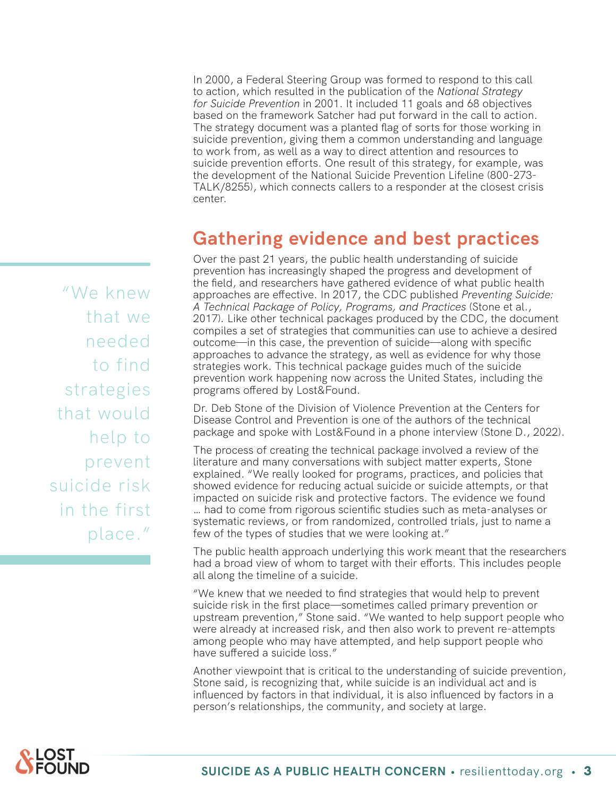In 2000, a Federal Steering Group was formed to respond to this call to action, which resulted in the publication of the *National Strategy for Suicide Prevention* in 2001. It included 11 goals and 68 objectives based on the framework Satcher had put forward in the call to action. The strategy document was a planted flag of sorts for those working in suicide prevention, giving them a common understanding and language to work from, as well as a way to direct attention and resources to suicide prevention efforts. One result of this strategy, for example, was the development of the National Suicide Prevention Lifeline (800-273- TALK/8255), which connects callers to a responder at the closest crisis center.

# **Gathering evidence and best practices**

Over the past 21 years, the public health understanding of suicide prevention has increasingly shaped the progress and development of the field, and researchers have gathered evidence of what public health approaches are effective. In 2017, the CDC published *Preventing Suicide: A Technical Package of Policy, Programs, and Practices* (Stone et al., 2017)*.* Like other technical packages produced by the CDC, the document compiles a set of strategies that communities can use to achieve a desired outcome—in this case, the prevention of suicide—along with specific approaches to advance the strategy, as well as evidence for why those strategies work. This technical package guides much of the suicide prevention work happening now across the United States, including the programs offered by Lost&Found.

Dr. Deb Stone of the Division of Violence Prevention at the Centers for Disease Control and Prevention is one of the authors of the technical package and spoke with Lost&Found in a phone interview (Stone D., 2022).

The process of creating the technical package involved a review of the literature and many conversations with subject matter experts, Stone explained. "We really looked for programs, practices, and policies that showed evidence for reducing actual suicide or suicide attempts, or that impacted on suicide risk and protective factors. The evidence we found … had to come from rigorous scientific studies such as meta-analyses or systematic reviews, or from randomized, controlled trials, just to name a few of the types of studies that we were looking at."

The public health approach underlying this work meant that the researchers had a broad view of whom to target with their efforts. This includes people all along the timeline of a suicide.

"We knew that we needed to find strategies that would help to prevent suicide risk in the first place—sometimes called primary prevention or upstream prevention," Stone said. "We wanted to help support people who were already at increased risk, and then also work to prevent re-attempts among people who may have attempted, and help support people who have suffered a suicide loss."

Another viewpoint that is critical to the understanding of suicide prevention, Stone said, is recognizing that, while suicide is an individual act and is influenced by factors in that individual, it is also influenced by factors in a person's relationships, the community, and society at large.

"We knew that we needed to find strategies that would help to prevent suicide risk in the first place."

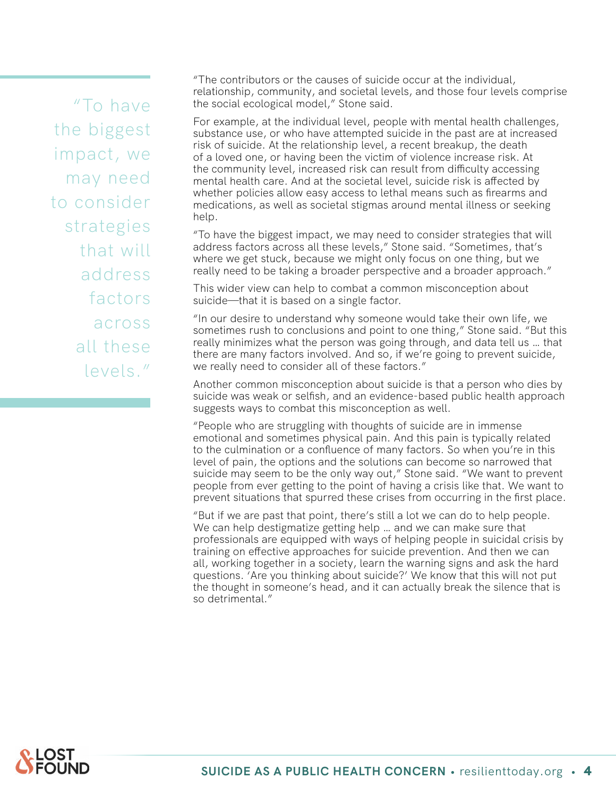"To have the biggest impact, we may need to consider strategies that will address factors across all these levels."

"The contributors or the causes of suicide occur at the individual, relationship, community, and societal levels, and those four levels comprise the social ecological model," Stone said.

For example, at the individual level, people with mental health challenges, substance use, or who have attempted suicide in the past are at increased risk of suicide. At the relationship level, a recent breakup, the death of a loved one, or having been the victim of violence increase risk. At the community level, increased risk can result from difficulty accessing mental health care. And at the societal level, suicide risk is affected by whether policies allow easy access to lethal means such as firearms and medications, as well as societal stigmas around mental illness or seeking help.

"To have the biggest impact, we may need to consider strategies that will address factors across all these levels," Stone said. "Sometimes, that's where we get stuck, because we might only focus on one thing, but we really need to be taking a broader perspective and a broader approach."

This wider view can help to combat a common misconception about suicide—that it is based on a single factor.

"In our desire to understand why someone would take their own life, we sometimes rush to conclusions and point to one thing," Stone said. "But this really minimizes what the person was going through, and data tell us … that there are many factors involved. And so, if we're going to prevent suicide, we really need to consider all of these factors."

Another common misconception about suicide is that a person who dies by suicide was weak or selfish, and an evidence-based public health approach suggests ways to combat this misconception as well.

"People who are struggling with thoughts of suicide are in immense emotional and sometimes physical pain. And this pain is typically related to the culmination or a confluence of many factors. So when you're in this level of pain, the options and the solutions can become so narrowed that suicide may seem to be the only way out," Stone said. "We want to prevent people from ever getting to the point of having a crisis like that. We want to prevent situations that spurred these crises from occurring in the first place.

"But if we are past that point, there's still a lot we can do to help people. We can help destigmatize getting help … and we can make sure that professionals are equipped with ways of helping people in suicidal crisis by training on effective approaches for suicide prevention. And then we can all, working together in a society, learn the warning signs and ask the hard questions. 'Are you thinking about suicide?' We know that this will not put the thought in someone's head, and it can actually break the silence that is so detrimental."

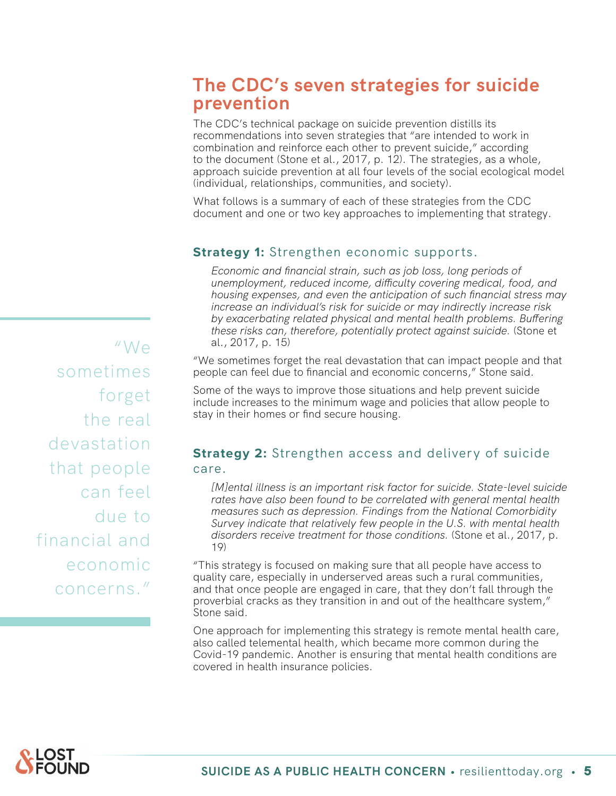# **The CDC's seven strategies for suicide prevention**

The CDC's technical package on suicide prevention distills its recommendations into seven strategies that "are intended to work in combination and reinforce each other to prevent suicide," according to the document (Stone et al., 2017, p. 12). The strategies, as a whole, approach suicide prevention at all four levels of the social ecological model (individual, relationships, communities, and society).

What follows is a summary of each of these strategies from the CDC document and one or two key approaches to implementing that strategy.

#### **Strategy 1:** Strengthen economic supports.

*Economic and financial strain, such as job loss, long periods of unemployment, reduced income, difficulty covering medical, food, and housing expenses, and even the anticipation of such financial stress may increase an individual's risk for suicide or may indirectly increase risk by exacerbating related physical and mental health problems. Buffering these risks can, therefore, potentially protect against suicide.* (Stone et al., 2017, p. 15)

"We sometimes forget the real devastation that can impact people and that people can feel due to financial and economic concerns," Stone said.

Some of the ways to improve those situations and help prevent suicide include increases to the minimum wage and policies that allow people to stay in their homes or find secure housing.

#### **Strategy 2:** Strengthen access and delivery of suicide care.

*[M]ental illness is an important risk factor for suicide. State-level suicide rates have also been found to be correlated with general mental health measures such as depression. Findings from the National Comorbidity Survey indicate that relatively few people in the U.S. with mental health disorders receive treatment for those conditions.* (Stone et al., 2017, p. 19)

"This strategy is focused on making sure that all people have access to quality care, especially in underserved areas such a rural communities, and that once people are engaged in care, that they don't fall through the proverbial cracks as they transition in and out of the healthcare system," Stone said.

One approach for implementing this strategy is remote mental health care, also called telemental health, which became more common during the Covid-19 pandemic. Another is ensuring that mental health conditions are covered in health insurance policies.

"We sometimes forget the real devastation that people can feel due to financial and economic concerns."

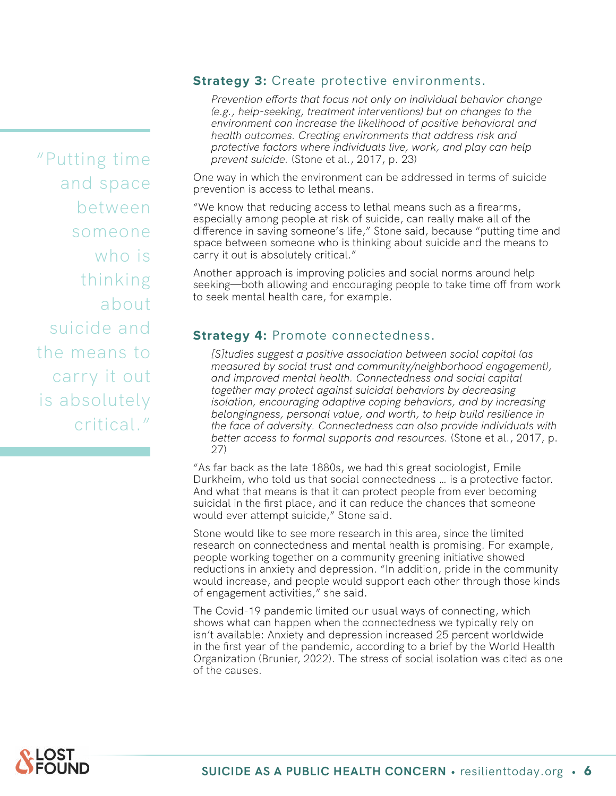"Putting time and space between someone who is thinking about suicide and the means to carry it out is absolutely critical."

#### **Strategy 3: Create protective environments.**

*Prevention efforts that focus not only on individual behavior change (e.g., help-seeking, treatment interventions) but on changes to the environment can increase the likelihood of positive behavioral and health outcomes. Creating environments that address risk and protective factors where individuals live, work, and play can help prevent suicide.* (Stone et al., 2017, p. 23)

One way in which the environment can be addressed in terms of suicide prevention is access to lethal means.

"We know that reducing access to lethal means such as a firearms, especially among people at risk of suicide, can really make all of the difference in saving someone's life," Stone said, because "putting time and space between someone who is thinking about suicide and the means to carry it out is absolutely critical."

Another approach is improving policies and social norms around help seeking—both allowing and encouraging people to take time off from work to seek mental health care, for example.

#### **Strategy 4: Promote connectedness.**

*[S]tudies suggest a positive association between social capital (as measured by social trust and community/neighborhood engagement), and improved mental health. Connectedness and social capital together may protect against suicidal behaviors by decreasing isolation, encouraging adaptive coping behaviors, and by increasing belongingness, personal value, and worth, to help build resilience in the face of adversity. Connectedness can also provide individuals with better access to formal supports and resources.* (Stone et al., 2017, p. 27)

"As far back as the late 1880s, we had this great sociologist, Emile Durkheim, who told us that social connectedness … is a protective factor. And what that means is that it can protect people from ever becoming suicidal in the first place, and it can reduce the chances that someone would ever attempt suicide," Stone said.

Stone would like to see more research in this area, since the limited research on connectedness and mental health is promising. For example, people working together on a community greening initiative showed reductions in anxiety and depression. "In addition, pride in the community would increase, and people would support each other through those kinds of engagement activities," she said.

The Covid-19 pandemic limited our usual ways of connecting, which shows what can happen when the connectedness we typically rely on isn't available: Anxiety and depression increased 25 percent worldwide in the first year of the pandemic, according to a brief by the World Health Organization (Brunier, 2022). The stress of social isolation was cited as one of the causes.

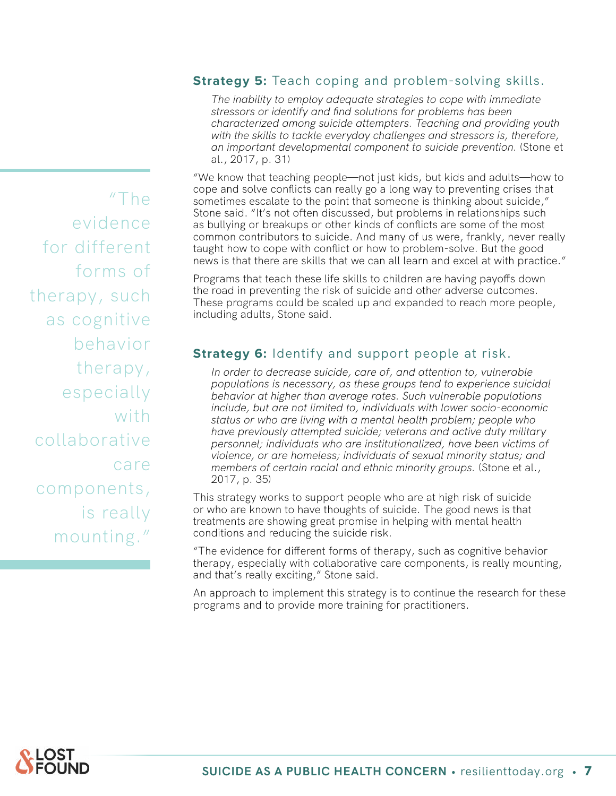#### **Strategy 5:** Teach coping and problem-solving skills.

*The inability to employ adequate strategies to cope with immediate stressors or identify and find solutions for problems has been characterized among suicide attempters. Teaching and providing youth with the skills to tackle everyday challenges and stressors is, therefore, an important developmental component to suicide prevention.* (Stone et al., 2017, p. 31)

"We know that teaching people—not just kids, but kids and adults—how to cope and solve conflicts can really go a long way to preventing crises that sometimes escalate to the point that someone is thinking about suicide," Stone said. "It's not often discussed, but problems in relationships such as bullying or breakups or other kinds of conflicts are some of the most common contributors to suicide. And many of us were, frankly, never really taught how to cope with conflict or how to problem-solve. But the good news is that there are skills that we can all learn and excel at with practice."

Programs that teach these life skills to children are having payoffs down the road in preventing the risk of suicide and other adverse outcomes. These programs could be scaled up and expanded to reach more people, including adults, Stone said.

#### **Strategy 6:** Identify and support people at risk.

*In order to decrease suicide, care of, and attention to, vulnerable populations is necessary, as these groups tend to experience suicidal behavior at higher than average rates. Such vulnerable populations include, but are not limited to, individuals with lower socio-economic status or who are living with a mental health problem; people who have previously attempted suicide; veterans and active duty military personnel; individuals who are institutionalized, have been victims of violence, or are homeless; individuals of sexual minority status; and members of certain racial and ethnic minority groups.* (Stone et al., 2017, p. 35)

This strategy works to support people who are at high risk of suicide or who are known to have thoughts of suicide. The good news is that treatments are showing great promise in helping with mental health conditions and reducing the suicide risk.

"The evidence for different forms of therapy, such as cognitive behavior therapy, especially with collaborative care components, is really mounting, and that's really exciting," Stone said.

An approach to implement this strategy is to continue the research for these programs and to provide more training for practitioners.

"The evidence for different forms of therapy, such as cognitive behavior therapy, especially with collaborative care components, is really mounting."

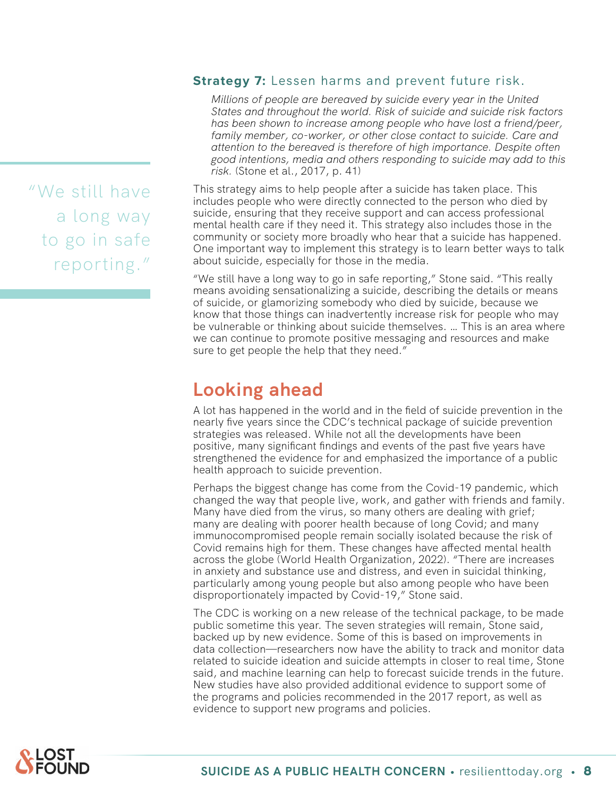"We still have a long way to go in safe reporting."

#### **Strategy 7:** Lessen harms and prevent future risk.

*Millions of people are bereaved by suicide every year in the United States and throughout the world. Risk of suicide and suicide risk factors has been shown to increase among people who have lost a friend/peer, family member, co-worker, or other close contact to suicide. Care and attention to the bereaved is therefore of high importance. Despite often good intentions, media and others responding to suicide may add to this risk.* (Stone et al., 2017, p. 41)

This strategy aims to help people after a suicide has taken place. This includes people who were directly connected to the person who died by suicide, ensuring that they receive support and can access professional mental health care if they need it. This strategy also includes those in the community or society more broadly who hear that a suicide has happened. One important way to implement this strategy is to learn better ways to talk about suicide, especially for those in the media.

"We still have a long way to go in safe reporting," Stone said. "This really means avoiding sensationalizing a suicide, describing the details or means of suicide, or glamorizing somebody who died by suicide, because we know that those things can inadvertently increase risk for people who may be vulnerable or thinking about suicide themselves. … This is an area where we can continue to promote positive messaging and resources and make sure to get people the help that they need."

# **Looking ahead**

A lot has happened in the world and in the field of suicide prevention in the nearly five years since the CDC's technical package of suicide prevention strategies was released. While not all the developments have been positive, many significant findings and events of the past five years have strengthened the evidence for and emphasized the importance of a public health approach to suicide prevention.

Perhaps the biggest change has come from the Covid-19 pandemic, which changed the way that people live, work, and gather with friends and family. Many have died from the virus, so many others are dealing with grief; many are dealing with poorer health because of long Covid; and many immunocompromised people remain socially isolated because the risk of Covid remains high for them. These changes have affected mental health across the globe (World Health Organization, 2022). "There are increases in anxiety and substance use and distress, and even in suicidal thinking, particularly among young people but also among people who have been disproportionately impacted by Covid-19," Stone said.

The CDC is working on a new release of the technical package, to be made public sometime this year. The seven strategies will remain, Stone said, backed up by new evidence. Some of this is based on improvements in data collection—researchers now have the ability to track and monitor data related to suicide ideation and suicide attempts in closer to real time, Stone said, and machine learning can help to forecast suicide trends in the future. New studies have also provided additional evidence to support some of the programs and policies recommended in the 2017 report, as well as evidence to support new programs and policies.

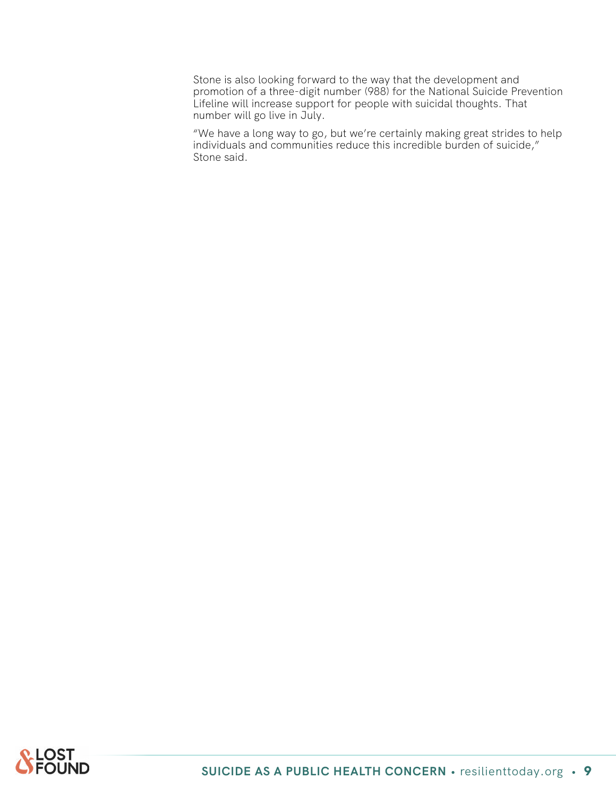Stone is also looking forward to the way that the development and promotion of a three-digit number (988) for the National Suicide Prevention Lifeline will increase support for people with suicidal thoughts. That number will go live in July.

"We have a long way to go, but we're certainly making great strides to help individuals and communities reduce this incredible burden of suicide," Stone said.

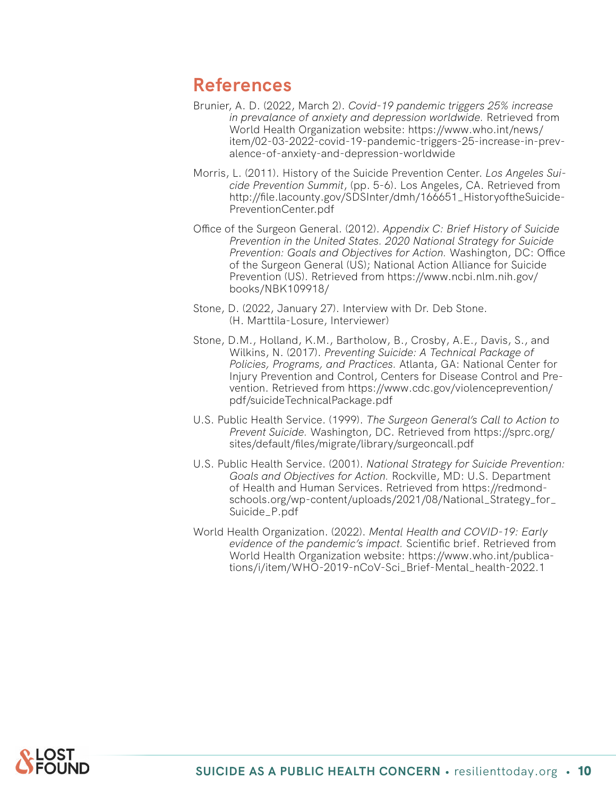### **References**

- Brunier, A. D. (2022, March 2). *Covid-19 pandemic triggers 25% increase in prevalance of anxiety and depression worldwide.* Retrieved from World Health Organization website: https://www.who.int/news/ item/02-03-2022-covid-19-pandemic-triggers-25-increase-in-prevalence-of-anxiety-and-depression-worldwide
- Morris, L. (2011). History of the Suicide Prevention Center. *Los Angeles Suicide Prevention Summit*, (pp. 5-6). Los Angeles, CA. Retrieved from http://file.lacounty.gov/SDSInter/dmh/166651\_HistoryoftheSuicide-PreventionCenter.pdf
- Office of the Surgeon General. (2012). *Appendix C: Brief History of Suicide Prevention in the United States. 2020 National Strategy for Suicide Prevention: Goals and Objectives for Action.* Washington, DC: Office of the Surgeon General (US); National Action Alliance for Suicide Prevention (US). Retrieved from https://www.ncbi.nlm.nih.gov/ books/NBK109918/
- Stone, D. (2022, January 27). Interview with Dr. Deb Stone. (H. Marttila-Losure, Interviewer)
- Stone, D.M., Holland, K.M., Bartholow, B., Crosby, A.E., Davis, S., and Wilkins, N. (2017). *Preventing Suicide: A Technical Package of Policies, Programs, and Practices.* Atlanta, GA: National Center for Injury Prevention and Control, Centers for Disease Control and Prevention. Retrieved from https://www.cdc.gov/violenceprevention/ pdf/suicideTechnicalPackage.pdf
- U.S. Public Health Service. (1999). *The Surgeon General's Call to Action to Prevent Suicide.* Washington, DC. Retrieved from https://sprc.org/ sites/default/files/migrate/library/surgeoncall.pdf
- U.S. Public Health Service. (2001). *National Strategy for Suicide Prevention: Goals and Objectives for Action.* Rockville, MD: U.S. Department of Health and Human Services. Retrieved from https://redmondschools.org/wp-content/uploads/2021/08/National\_Strategy\_for\_ Suicide\_P.pdf
- World Health Organization. (2022). *Mental Health and COVID-19: Early evidence of the pandemic's impact.* Scientific brief. Retrieved from World Health Organization website: https://www.who.int/publications/i/item/WHO-2019-nCoV-Sci\_Brief-Mental\_health-2022.1